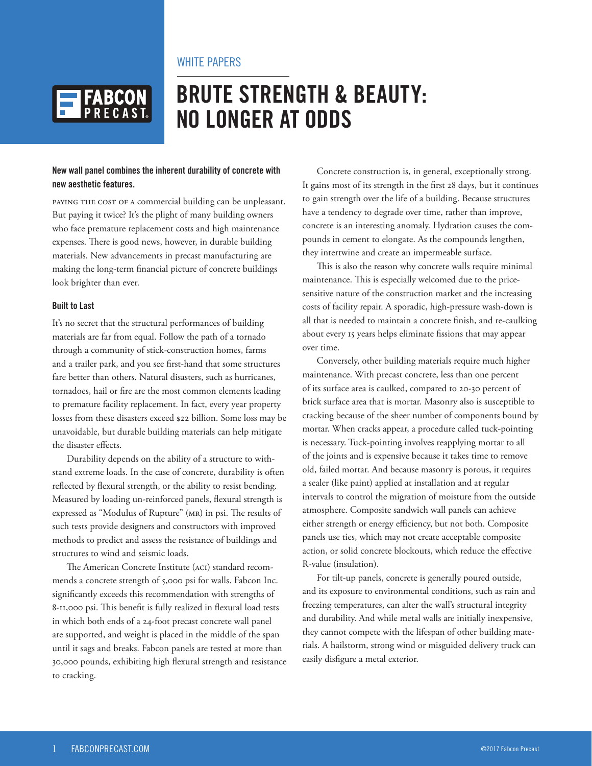## WHITE PAPERS



# **BRUTE STRENGTH & BEAUTY: NO LONGER AT ODDS**

#### **New wall panel combines the inherent durability of concrete with new aesthetic features.**

PAYING THE COST OF A commercial building can be unpleasant. But paying it twice? It's the plight of many building owners who face premature replacement costs and high maintenance expenses. There is good news, however, in durable building materials. New advancements in precast manufacturing are making the long-term financial picture of concrete buildings look brighter than ever.

#### **Built to Last**

It's no secret that the structural performances of building materials are far from equal. Follow the path of a tornado through a community of stick-construction homes, farms and a trailer park, and you see first-hand that some structures fare better than others. Natural disasters, such as hurricanes, tornadoes, hail or fire are the most common elements leading to premature facility replacement. In fact, every year property losses from these disasters exceed \$22 billion. Some loss may be unavoidable, but durable building materials can help mitigate the disaster effects.

Durability depends on the ability of a structure to withstand extreme loads. In the case of concrete, durability is often reflected by flexural strength, or the ability to resist bending. Measured by loading un-reinforced panels, flexural strength is expressed as "Modulus of Rupture" (MR) in psi. The results of such tests provide designers and constructors with improved methods to predict and assess the resistance of buildings and structures to wind and seismic loads.

The American Concrete Institute (ACI) standard recommends a concrete strength of 5,000 psi for walls. Fabcon Inc. significantly exceeds this recommendation with strengths of 8-11,000 psi. This benefit is fully realized in flexural load tests in which both ends of a 24-foot precast concrete wall panel are supported, and weight is placed in the middle of the span until it sags and breaks. Fabcon panels are tested at more than 30,000 pounds, exhibiting high flexural strength and resistance to cracking.

Concrete construction is, in general, exceptionally strong. It gains most of its strength in the first 28 days, but it continues to gain strength over the life of a building. Because structures have a tendency to degrade over time, rather than improve, concrete is an interesting anomaly. Hydration causes the compounds in cement to elongate. As the compounds lengthen, they intertwine and create an impermeable surface.

This is also the reason why concrete walls require minimal maintenance. This is especially welcomed due to the pricesensitive nature of the construction market and the increasing costs of facility repair. A sporadic, high-pressure wash-down is all that is needed to maintain a concrete finish, and re-caulking about every 15 years helps eliminate fissions that may appear over time.

Conversely, other building materials require much higher maintenance. With precast concrete, less than one percent of its surface area is caulked, compared to 20-30 percent of brick surface area that is mortar. Masonry also is susceptible to cracking because of the sheer number of components bound by mortar. When cracks appear, a procedure called tuck-pointing is necessary. Tuck-pointing involves reapplying mortar to all of the joints and is expensive because it takes time to remove old, failed mortar. And because masonry is porous, it requires a sealer (like paint) applied at installation and at regular intervals to control the migration of moisture from the outside atmosphere. Composite sandwich wall panels can achieve either strength or energy efficiency, but not both. Composite panels use ties, which may not create acceptable composite action, or solid concrete blockouts, which reduce the effective R-value (insulation).

For tilt-up panels, concrete is generally poured outside, and its exposure to environmental conditions, such as rain and freezing temperatures, can alter the wall's structural integrity and durability. And while metal walls are initially inexpensive, they cannot compete with the lifespan of other building materials. A hailstorm, strong wind or misguided delivery truck can easily disfigure a metal exterior.